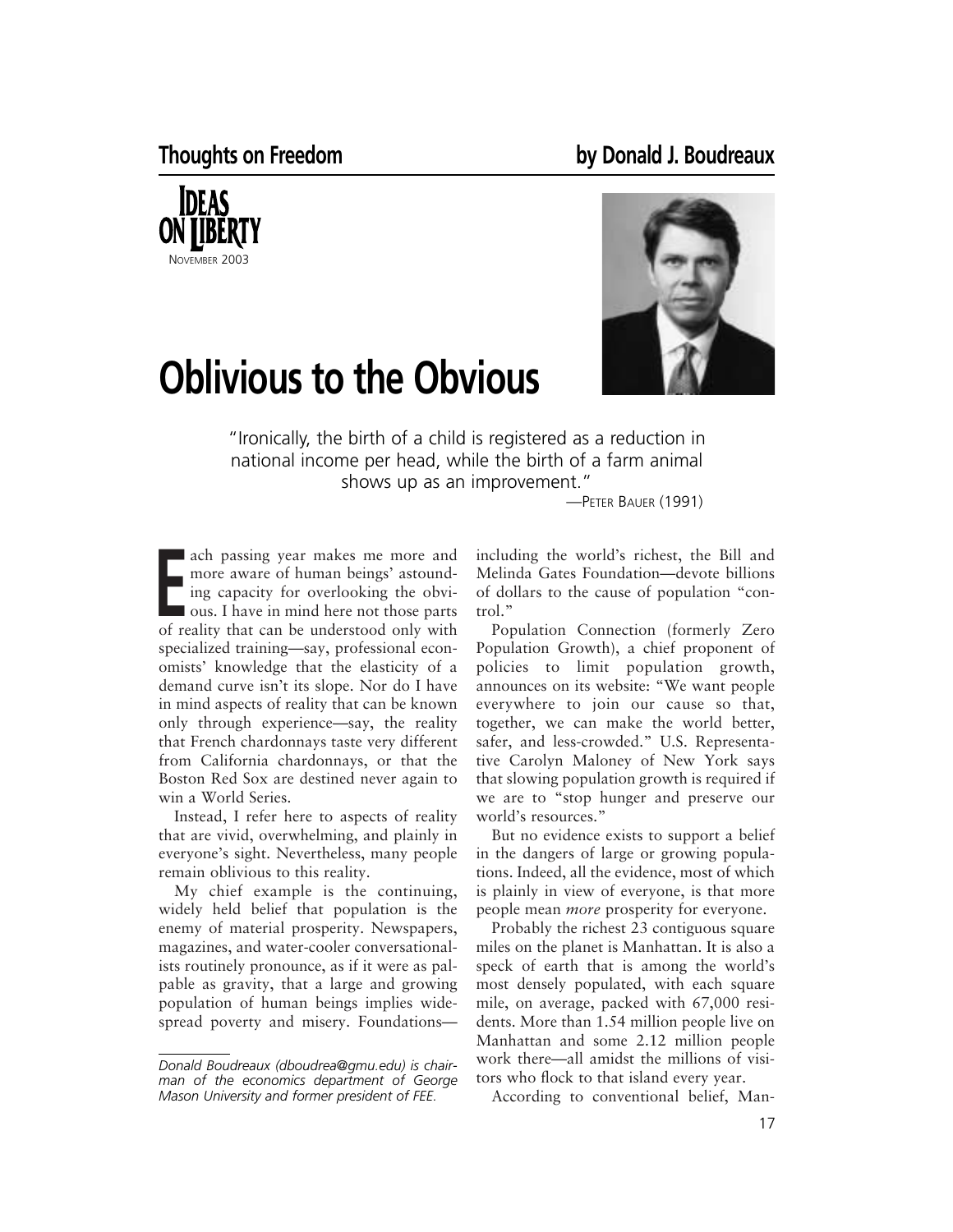



## **Oblivious to the Obvious**

"Ironically, the birth of a child is registered as a reduction in national income per head, while the birth of a farm animal shows up as an improvement."

—PETER BAUER (1991)

**EXECUTE:** The more aware of human beings' astounding capacity for overlooking the obvious. I have in mind here not those parts of reality that can be understood only with ach passing year makes me more and more aware of human beings' astounding capacity for overlooking the obvious. I have in mind here not those parts specialized training—say, professional economists' knowledge that the elasticity of a demand curve isn't its slope. Nor do I have in mind aspects of reality that can be known only through experience—say, the reality that French chardonnays taste very different from California chardonnays, or that the Boston Red Sox are destined never again to win a World Series.

Instead, I refer here to aspects of reality that are vivid, overwhelming, and plainly in everyone's sight. Nevertheless, many people remain oblivious to this reality.

My chief example is the continuing, widely held belief that population is the enemy of material prosperity. Newspapers, magazines, and water-cooler conversationalists routinely pronounce, as if it were as palpable as gravity, that a large and growing population of human beings implies widespread poverty and misery. Foundationsincluding the world's richest, the Bill and Melinda Gates Foundation—devote billions of dollars to the cause of population "control."

Population Connection (formerly Zero Population Growth), a chief proponent of policies to limit population growth, announces on its website: "We want people everywhere to join our cause so that, together, we can make the world better, safer, and less-crowded." U.S. Representative Carolyn Maloney of New York says that slowing population growth is required if we are to "stop hunger and preserve our world's resources."

But no evidence exists to support a belief in the dangers of large or growing populations. Indeed, all the evidence, most of which is plainly in view of everyone, is that more people mean *more* prosperity for everyone.

Probably the richest 23 contiguous square miles on the planet is Manhattan. It is also a speck of earth that is among the world's most densely populated, with each square mile, on average, packed with 67,000 residents. More than 1.54 million people live on Manhattan and some 2.12 million people work there—all amidst the millions of visitors who flock to that island every year.

According to conventional belief, Man-

*Donald Boudreaux (dboudrea@gmu.edu) is chairman of the economics department of George Mason University and former president of FEE.*